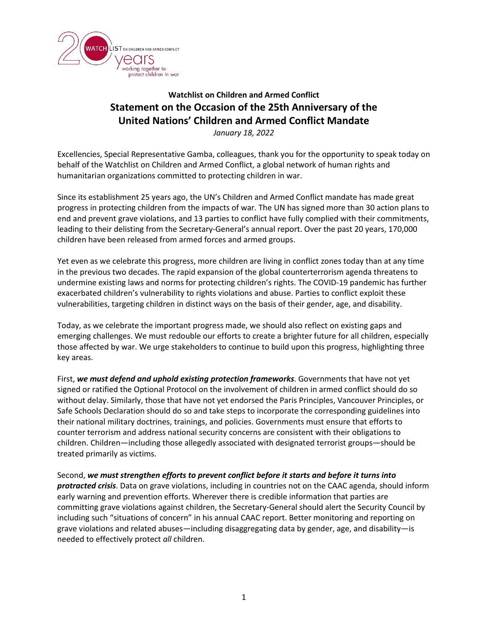

## **Watchlist on Children and Armed Conflict Statement on the Occasion of the 25th Anniversary of the United Nations' Children and Armed Conflict Mandate**

*January 18, 2022*

Excellencies, Special Representative Gamba, colleagues, thank you for the opportunity to speak today on behalf of the Watchlist on Children and Armed Conflict, a global network of human rights and humanitarian organizations committed to protecting children in war.

Since its establishment 25 years ago, the UN's Children and Armed Conflict mandate has made great progress in protecting children from the impacts of war. The UN has signed more than 30 action plans to end and prevent grave violations, and 13 parties to conflict have fully complied with their commitments, leading to their delisting from the Secretary-General's annual report. Over the past 20 years, 170,000 children have been released from armed forces and armed groups.

Yet even as we celebrate this progress, more children are living in conflict zones today than at any time in the previous two decades. The rapid expansion of the global counterterrorism agenda threatens to undermine existing laws and norms for protecting children's rights. The COVID-19 pandemic has further exacerbated children's vulnerability to rights violations and abuse. Parties to conflict exploit these vulnerabilities, targeting children in distinct ways on the basis of their gender, age, and disability.

Today, as we celebrate the important progress made, we should also reflect on existing gaps and emerging challenges. We must redouble our efforts to create a brighter future for all children, especially those affected by war. We urge stakeholders to continue to build upon this progress, highlighting three key areas.

First, *we must defend and uphold existing protection frameworks*. Governments that have not yet signed or ratified the Optional Protocol on the involvement of children in armed conflict should do so without delay. Similarly, those that have not yet endorsed the Paris Principles, Vancouver Principles, or Safe Schools Declaration should do so and take steps to incorporate the corresponding guidelines into their national military doctrines, trainings, and policies. Governments must ensure that efforts to counter terrorism and address national security concerns are consistent with their obligations to children. Children—including those allegedly associated with designated terrorist groups—should be treated primarily as victims.

Second, *we must strengthen efforts to prevent conflict before it starts and before it turns into protracted crisis*. Data on grave violations, including in countries not on the CAAC agenda, should inform early warning and prevention efforts. Wherever there is credible information that parties are committing grave violations against children, the Secretary-General should alert the Security Council by including such "situations of concern" in his annual CAAC report. Better monitoring and reporting on grave violations and related abuses—including disaggregating data by gender, age, and disability—is needed to effectively protect *all* children.